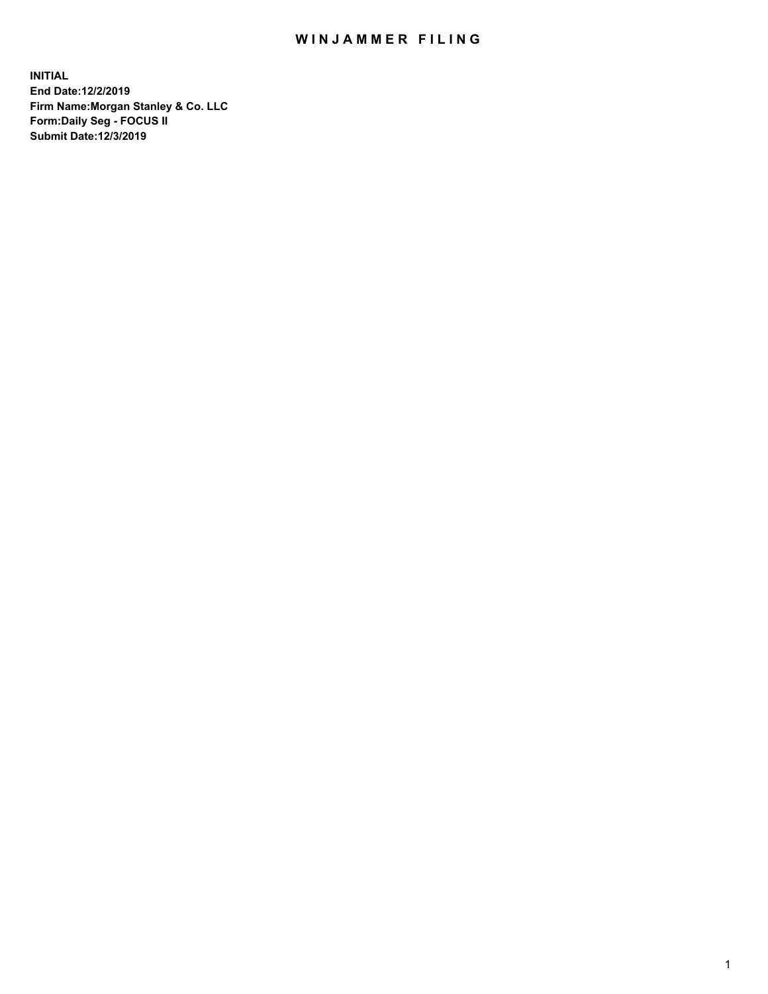## WIN JAMMER FILING

**INITIAL End Date:12/2/2019 Firm Name:Morgan Stanley & Co. LLC Form:Daily Seg - FOCUS II Submit Date:12/3/2019**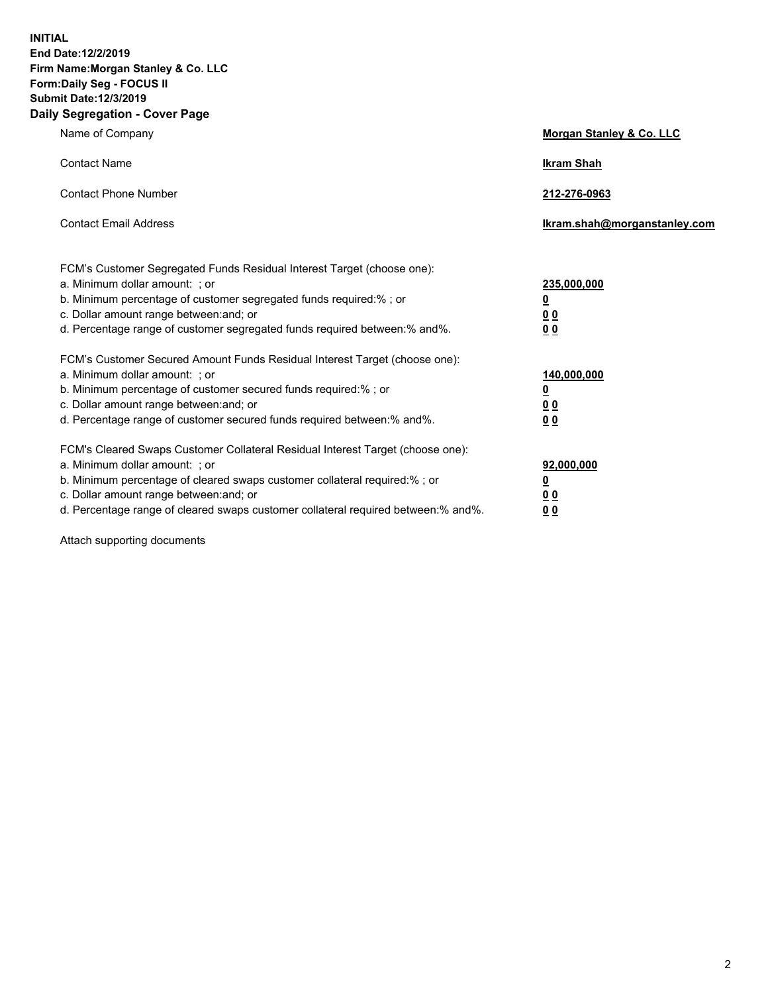**INITIAL End Date:12/2/2019 Firm Name:Morgan Stanley & Co. LLC Form:Daily Seg - FOCUS II Submit Date:12/3/2019 Daily Segregation - Cover Page**

| Name of Company                                                                                                                                                                                                                                                                                                                | Morgan Stanley & Co. LLC                                    |
|--------------------------------------------------------------------------------------------------------------------------------------------------------------------------------------------------------------------------------------------------------------------------------------------------------------------------------|-------------------------------------------------------------|
| <b>Contact Name</b>                                                                                                                                                                                                                                                                                                            | <b>Ikram Shah</b>                                           |
| <b>Contact Phone Number</b>                                                                                                                                                                                                                                                                                                    | 212-276-0963                                                |
| <b>Contact Email Address</b>                                                                                                                                                                                                                                                                                                   | lkram.shah@morganstanley.com                                |
| FCM's Customer Segregated Funds Residual Interest Target (choose one):<br>a. Minimum dollar amount: ; or<br>b. Minimum percentage of customer segregated funds required:% ; or<br>c. Dollar amount range between: and; or<br>d. Percentage range of customer segregated funds required between: % and %.                       | 235,000,000<br><u>0</u><br>00<br>0 <sub>0</sub>             |
| FCM's Customer Secured Amount Funds Residual Interest Target (choose one):<br>a. Minimum dollar amount: ; or<br>b. Minimum percentage of customer secured funds required:% ; or<br>c. Dollar amount range between: and; or<br>d. Percentage range of customer secured funds required between:% and%.                           | 140,000,000<br><u>0</u><br>0 <sub>0</sub><br>0 <sub>0</sub> |
| FCM's Cleared Swaps Customer Collateral Residual Interest Target (choose one):<br>a. Minimum dollar amount: ; or<br>b. Minimum percentage of cleared swaps customer collateral required:% ; or<br>c. Dollar amount range between: and; or<br>d. Percentage range of cleared swaps customer collateral required between:% and%. | 92,000,000<br><u>0</u><br><u>00</u><br>0 <sup>0</sup>       |

Attach supporting documents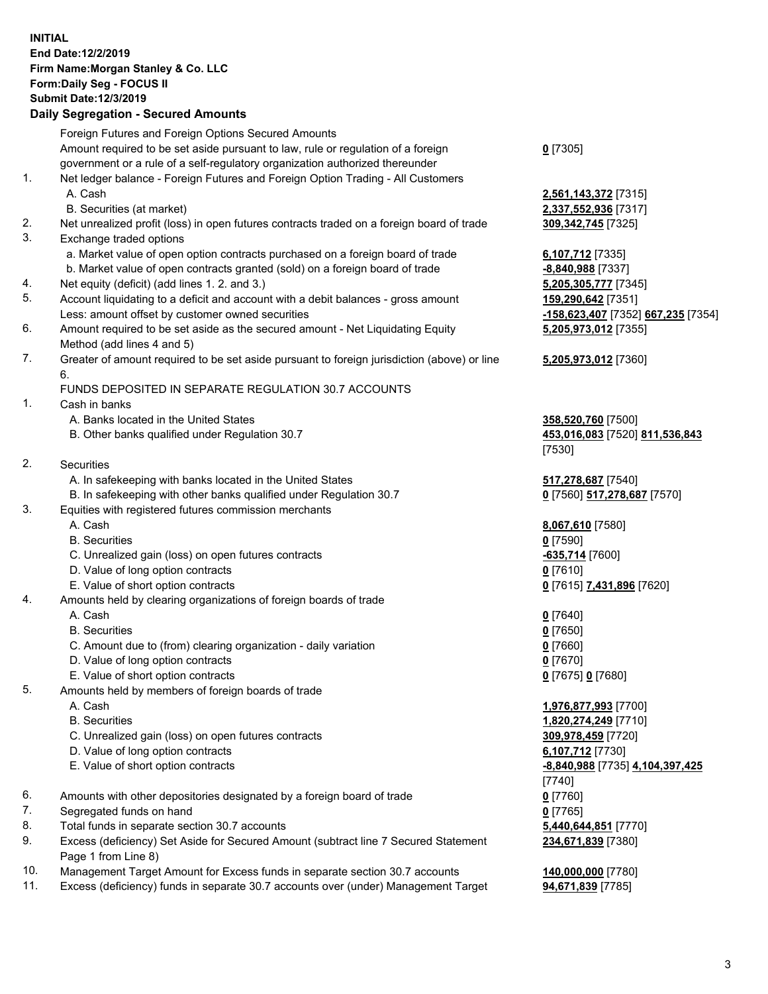## **INITIAL End Date:12/2/2019 Firm Name:Morgan Stanley & Co. LLC Form:Daily Seg - FOCUS II Submit Date:12/3/2019**

## **Daily Segregation - Secured Amounts**

| Foreign Futures and Foreign Options Secured Amounts                                         |                                                                                                                                                                                                                                                                                                                                                                                                                                                                                                                                                                                                                                                                                                                                                                                                                                                                                                                                                                                                                                                                                                                                                                                                                                                                                                                                                                                                                                                                                                                                                                                                                                                                                                                                                                                                                                                                                                                                                                                                                                                                                                                                   |
|---------------------------------------------------------------------------------------------|-----------------------------------------------------------------------------------------------------------------------------------------------------------------------------------------------------------------------------------------------------------------------------------------------------------------------------------------------------------------------------------------------------------------------------------------------------------------------------------------------------------------------------------------------------------------------------------------------------------------------------------------------------------------------------------------------------------------------------------------------------------------------------------------------------------------------------------------------------------------------------------------------------------------------------------------------------------------------------------------------------------------------------------------------------------------------------------------------------------------------------------------------------------------------------------------------------------------------------------------------------------------------------------------------------------------------------------------------------------------------------------------------------------------------------------------------------------------------------------------------------------------------------------------------------------------------------------------------------------------------------------------------------------------------------------------------------------------------------------------------------------------------------------------------------------------------------------------------------------------------------------------------------------------------------------------------------------------------------------------------------------------------------------------------------------------------------------------------------------------------------------|
|                                                                                             | $0$ [7305]                                                                                                                                                                                                                                                                                                                                                                                                                                                                                                                                                                                                                                                                                                                                                                                                                                                                                                                                                                                                                                                                                                                                                                                                                                                                                                                                                                                                                                                                                                                                                                                                                                                                                                                                                                                                                                                                                                                                                                                                                                                                                                                        |
|                                                                                             |                                                                                                                                                                                                                                                                                                                                                                                                                                                                                                                                                                                                                                                                                                                                                                                                                                                                                                                                                                                                                                                                                                                                                                                                                                                                                                                                                                                                                                                                                                                                                                                                                                                                                                                                                                                                                                                                                                                                                                                                                                                                                                                                   |
|                                                                                             |                                                                                                                                                                                                                                                                                                                                                                                                                                                                                                                                                                                                                                                                                                                                                                                                                                                                                                                                                                                                                                                                                                                                                                                                                                                                                                                                                                                                                                                                                                                                                                                                                                                                                                                                                                                                                                                                                                                                                                                                                                                                                                                                   |
|                                                                                             | 2,561,143,372 [7315]                                                                                                                                                                                                                                                                                                                                                                                                                                                                                                                                                                                                                                                                                                                                                                                                                                                                                                                                                                                                                                                                                                                                                                                                                                                                                                                                                                                                                                                                                                                                                                                                                                                                                                                                                                                                                                                                                                                                                                                                                                                                                                              |
|                                                                                             | 2,337,552,936 [7317]                                                                                                                                                                                                                                                                                                                                                                                                                                                                                                                                                                                                                                                                                                                                                                                                                                                                                                                                                                                                                                                                                                                                                                                                                                                                                                                                                                                                                                                                                                                                                                                                                                                                                                                                                                                                                                                                                                                                                                                                                                                                                                              |
|                                                                                             | 309, 342, 745 [7325]                                                                                                                                                                                                                                                                                                                                                                                                                                                                                                                                                                                                                                                                                                                                                                                                                                                                                                                                                                                                                                                                                                                                                                                                                                                                                                                                                                                                                                                                                                                                                                                                                                                                                                                                                                                                                                                                                                                                                                                                                                                                                                              |
|                                                                                             |                                                                                                                                                                                                                                                                                                                                                                                                                                                                                                                                                                                                                                                                                                                                                                                                                                                                                                                                                                                                                                                                                                                                                                                                                                                                                                                                                                                                                                                                                                                                                                                                                                                                                                                                                                                                                                                                                                                                                                                                                                                                                                                                   |
|                                                                                             | 6,107,712 [7335]                                                                                                                                                                                                                                                                                                                                                                                                                                                                                                                                                                                                                                                                                                                                                                                                                                                                                                                                                                                                                                                                                                                                                                                                                                                                                                                                                                                                                                                                                                                                                                                                                                                                                                                                                                                                                                                                                                                                                                                                                                                                                                                  |
|                                                                                             | -8,840,988 [7337]                                                                                                                                                                                                                                                                                                                                                                                                                                                                                                                                                                                                                                                                                                                                                                                                                                                                                                                                                                                                                                                                                                                                                                                                                                                                                                                                                                                                                                                                                                                                                                                                                                                                                                                                                                                                                                                                                                                                                                                                                                                                                                                 |
|                                                                                             | 5,205,305,777 [7345]                                                                                                                                                                                                                                                                                                                                                                                                                                                                                                                                                                                                                                                                                                                                                                                                                                                                                                                                                                                                                                                                                                                                                                                                                                                                                                                                                                                                                                                                                                                                                                                                                                                                                                                                                                                                                                                                                                                                                                                                                                                                                                              |
|                                                                                             | 159,290,642 [7351]                                                                                                                                                                                                                                                                                                                                                                                                                                                                                                                                                                                                                                                                                                                                                                                                                                                                                                                                                                                                                                                                                                                                                                                                                                                                                                                                                                                                                                                                                                                                                                                                                                                                                                                                                                                                                                                                                                                                                                                                                                                                                                                |
|                                                                                             | -158,623,407 [7352] 667,235 [7354]                                                                                                                                                                                                                                                                                                                                                                                                                                                                                                                                                                                                                                                                                                                                                                                                                                                                                                                                                                                                                                                                                                                                                                                                                                                                                                                                                                                                                                                                                                                                                                                                                                                                                                                                                                                                                                                                                                                                                                                                                                                                                                |
| Method (add lines 4 and 5)                                                                  | 5,205,973,012 [7355]                                                                                                                                                                                                                                                                                                                                                                                                                                                                                                                                                                                                                                                                                                                                                                                                                                                                                                                                                                                                                                                                                                                                                                                                                                                                                                                                                                                                                                                                                                                                                                                                                                                                                                                                                                                                                                                                                                                                                                                                                                                                                                              |
| Greater of amount required to be set aside pursuant to foreign jurisdiction (above) or line | 5,205,973,012 [7360]                                                                                                                                                                                                                                                                                                                                                                                                                                                                                                                                                                                                                                                                                                                                                                                                                                                                                                                                                                                                                                                                                                                                                                                                                                                                                                                                                                                                                                                                                                                                                                                                                                                                                                                                                                                                                                                                                                                                                                                                                                                                                                              |
| 6.                                                                                          |                                                                                                                                                                                                                                                                                                                                                                                                                                                                                                                                                                                                                                                                                                                                                                                                                                                                                                                                                                                                                                                                                                                                                                                                                                                                                                                                                                                                                                                                                                                                                                                                                                                                                                                                                                                                                                                                                                                                                                                                                                                                                                                                   |
|                                                                                             |                                                                                                                                                                                                                                                                                                                                                                                                                                                                                                                                                                                                                                                                                                                                                                                                                                                                                                                                                                                                                                                                                                                                                                                                                                                                                                                                                                                                                                                                                                                                                                                                                                                                                                                                                                                                                                                                                                                                                                                                                                                                                                                                   |
| Cash in banks                                                                               |                                                                                                                                                                                                                                                                                                                                                                                                                                                                                                                                                                                                                                                                                                                                                                                                                                                                                                                                                                                                                                                                                                                                                                                                                                                                                                                                                                                                                                                                                                                                                                                                                                                                                                                                                                                                                                                                                                                                                                                                                                                                                                                                   |
|                                                                                             | 358,520,760 [7500]                                                                                                                                                                                                                                                                                                                                                                                                                                                                                                                                                                                                                                                                                                                                                                                                                                                                                                                                                                                                                                                                                                                                                                                                                                                                                                                                                                                                                                                                                                                                                                                                                                                                                                                                                                                                                                                                                                                                                                                                                                                                                                                |
|                                                                                             | 453,016,083 [7520] 811,536,843                                                                                                                                                                                                                                                                                                                                                                                                                                                                                                                                                                                                                                                                                                                                                                                                                                                                                                                                                                                                                                                                                                                                                                                                                                                                                                                                                                                                                                                                                                                                                                                                                                                                                                                                                                                                                                                                                                                                                                                                                                                                                                    |
|                                                                                             | [7530]                                                                                                                                                                                                                                                                                                                                                                                                                                                                                                                                                                                                                                                                                                                                                                                                                                                                                                                                                                                                                                                                                                                                                                                                                                                                                                                                                                                                                                                                                                                                                                                                                                                                                                                                                                                                                                                                                                                                                                                                                                                                                                                            |
|                                                                                             |                                                                                                                                                                                                                                                                                                                                                                                                                                                                                                                                                                                                                                                                                                                                                                                                                                                                                                                                                                                                                                                                                                                                                                                                                                                                                                                                                                                                                                                                                                                                                                                                                                                                                                                                                                                                                                                                                                                                                                                                                                                                                                                                   |
|                                                                                             | 517,278,687 [7540]                                                                                                                                                                                                                                                                                                                                                                                                                                                                                                                                                                                                                                                                                                                                                                                                                                                                                                                                                                                                                                                                                                                                                                                                                                                                                                                                                                                                                                                                                                                                                                                                                                                                                                                                                                                                                                                                                                                                                                                                                                                                                                                |
|                                                                                             | 0 [7560] 517,278,687 [7570]                                                                                                                                                                                                                                                                                                                                                                                                                                                                                                                                                                                                                                                                                                                                                                                                                                                                                                                                                                                                                                                                                                                                                                                                                                                                                                                                                                                                                                                                                                                                                                                                                                                                                                                                                                                                                                                                                                                                                                                                                                                                                                       |
|                                                                                             |                                                                                                                                                                                                                                                                                                                                                                                                                                                                                                                                                                                                                                                                                                                                                                                                                                                                                                                                                                                                                                                                                                                                                                                                                                                                                                                                                                                                                                                                                                                                                                                                                                                                                                                                                                                                                                                                                                                                                                                                                                                                                                                                   |
|                                                                                             | 8,067,610 [7580]                                                                                                                                                                                                                                                                                                                                                                                                                                                                                                                                                                                                                                                                                                                                                                                                                                                                                                                                                                                                                                                                                                                                                                                                                                                                                                                                                                                                                                                                                                                                                                                                                                                                                                                                                                                                                                                                                                                                                                                                                                                                                                                  |
|                                                                                             | $0$ [7590]                                                                                                                                                                                                                                                                                                                                                                                                                                                                                                                                                                                                                                                                                                                                                                                                                                                                                                                                                                                                                                                                                                                                                                                                                                                                                                                                                                                                                                                                                                                                                                                                                                                                                                                                                                                                                                                                                                                                                                                                                                                                                                                        |
|                                                                                             | -635,714 [7600]                                                                                                                                                                                                                                                                                                                                                                                                                                                                                                                                                                                                                                                                                                                                                                                                                                                                                                                                                                                                                                                                                                                                                                                                                                                                                                                                                                                                                                                                                                                                                                                                                                                                                                                                                                                                                                                                                                                                                                                                                                                                                                                   |
|                                                                                             | $0$ [7610]                                                                                                                                                                                                                                                                                                                                                                                                                                                                                                                                                                                                                                                                                                                                                                                                                                                                                                                                                                                                                                                                                                                                                                                                                                                                                                                                                                                                                                                                                                                                                                                                                                                                                                                                                                                                                                                                                                                                                                                                                                                                                                                        |
|                                                                                             | 0 [7615] 7,431,896 [7620]                                                                                                                                                                                                                                                                                                                                                                                                                                                                                                                                                                                                                                                                                                                                                                                                                                                                                                                                                                                                                                                                                                                                                                                                                                                                                                                                                                                                                                                                                                                                                                                                                                                                                                                                                                                                                                                                                                                                                                                                                                                                                                         |
|                                                                                             |                                                                                                                                                                                                                                                                                                                                                                                                                                                                                                                                                                                                                                                                                                                                                                                                                                                                                                                                                                                                                                                                                                                                                                                                                                                                                                                                                                                                                                                                                                                                                                                                                                                                                                                                                                                                                                                                                                                                                                                                                                                                                                                                   |
|                                                                                             | $0$ [7640]                                                                                                                                                                                                                                                                                                                                                                                                                                                                                                                                                                                                                                                                                                                                                                                                                                                                                                                                                                                                                                                                                                                                                                                                                                                                                                                                                                                                                                                                                                                                                                                                                                                                                                                                                                                                                                                                                                                                                                                                                                                                                                                        |
|                                                                                             | $0$ [7650]                                                                                                                                                                                                                                                                                                                                                                                                                                                                                                                                                                                                                                                                                                                                                                                                                                                                                                                                                                                                                                                                                                                                                                                                                                                                                                                                                                                                                                                                                                                                                                                                                                                                                                                                                                                                                                                                                                                                                                                                                                                                                                                        |
|                                                                                             | $0$ [7660]                                                                                                                                                                                                                                                                                                                                                                                                                                                                                                                                                                                                                                                                                                                                                                                                                                                                                                                                                                                                                                                                                                                                                                                                                                                                                                                                                                                                                                                                                                                                                                                                                                                                                                                                                                                                                                                                                                                                                                                                                                                                                                                        |
|                                                                                             | $0$ [7670]                                                                                                                                                                                                                                                                                                                                                                                                                                                                                                                                                                                                                                                                                                                                                                                                                                                                                                                                                                                                                                                                                                                                                                                                                                                                                                                                                                                                                                                                                                                                                                                                                                                                                                                                                                                                                                                                                                                                                                                                                                                                                                                        |
|                                                                                             | 0 [7675] 0 [7680]                                                                                                                                                                                                                                                                                                                                                                                                                                                                                                                                                                                                                                                                                                                                                                                                                                                                                                                                                                                                                                                                                                                                                                                                                                                                                                                                                                                                                                                                                                                                                                                                                                                                                                                                                                                                                                                                                                                                                                                                                                                                                                                 |
|                                                                                             |                                                                                                                                                                                                                                                                                                                                                                                                                                                                                                                                                                                                                                                                                                                                                                                                                                                                                                                                                                                                                                                                                                                                                                                                                                                                                                                                                                                                                                                                                                                                                                                                                                                                                                                                                                                                                                                                                                                                                                                                                                                                                                                                   |
|                                                                                             | 1,976,877,993 [7700]                                                                                                                                                                                                                                                                                                                                                                                                                                                                                                                                                                                                                                                                                                                                                                                                                                                                                                                                                                                                                                                                                                                                                                                                                                                                                                                                                                                                                                                                                                                                                                                                                                                                                                                                                                                                                                                                                                                                                                                                                                                                                                              |
|                                                                                             | 1,820,274,249 [7710]                                                                                                                                                                                                                                                                                                                                                                                                                                                                                                                                                                                                                                                                                                                                                                                                                                                                                                                                                                                                                                                                                                                                                                                                                                                                                                                                                                                                                                                                                                                                                                                                                                                                                                                                                                                                                                                                                                                                                                                                                                                                                                              |
|                                                                                             | 309,978,459 [7720]                                                                                                                                                                                                                                                                                                                                                                                                                                                                                                                                                                                                                                                                                                                                                                                                                                                                                                                                                                                                                                                                                                                                                                                                                                                                                                                                                                                                                                                                                                                                                                                                                                                                                                                                                                                                                                                                                                                                                                                                                                                                                                                |
|                                                                                             | 6,107,712 [7730]                                                                                                                                                                                                                                                                                                                                                                                                                                                                                                                                                                                                                                                                                                                                                                                                                                                                                                                                                                                                                                                                                                                                                                                                                                                                                                                                                                                                                                                                                                                                                                                                                                                                                                                                                                                                                                                                                                                                                                                                                                                                                                                  |
|                                                                                             | -8,840,988 [7735] 4,104,397,425<br>$[7740]$                                                                                                                                                                                                                                                                                                                                                                                                                                                                                                                                                                                                                                                                                                                                                                                                                                                                                                                                                                                                                                                                                                                                                                                                                                                                                                                                                                                                                                                                                                                                                                                                                                                                                                                                                                                                                                                                                                                                                                                                                                                                                       |
|                                                                                             | $0$ [7760]                                                                                                                                                                                                                                                                                                                                                                                                                                                                                                                                                                                                                                                                                                                                                                                                                                                                                                                                                                                                                                                                                                                                                                                                                                                                                                                                                                                                                                                                                                                                                                                                                                                                                                                                                                                                                                                                                                                                                                                                                                                                                                                        |
|                                                                                             | $0$ [7765]                                                                                                                                                                                                                                                                                                                                                                                                                                                                                                                                                                                                                                                                                                                                                                                                                                                                                                                                                                                                                                                                                                                                                                                                                                                                                                                                                                                                                                                                                                                                                                                                                                                                                                                                                                                                                                                                                                                                                                                                                                                                                                                        |
|                                                                                             | 5,440,644,851 [7770]                                                                                                                                                                                                                                                                                                                                                                                                                                                                                                                                                                                                                                                                                                                                                                                                                                                                                                                                                                                                                                                                                                                                                                                                                                                                                                                                                                                                                                                                                                                                                                                                                                                                                                                                                                                                                                                                                                                                                                                                                                                                                                              |
|                                                                                             | 234,671,839 [7380]                                                                                                                                                                                                                                                                                                                                                                                                                                                                                                                                                                                                                                                                                                                                                                                                                                                                                                                                                                                                                                                                                                                                                                                                                                                                                                                                                                                                                                                                                                                                                                                                                                                                                                                                                                                                                                                                                                                                                                                                                                                                                                                |
| Page 1 from Line 8)                                                                         |                                                                                                                                                                                                                                                                                                                                                                                                                                                                                                                                                                                                                                                                                                                                                                                                                                                                                                                                                                                                                                                                                                                                                                                                                                                                                                                                                                                                                                                                                                                                                                                                                                                                                                                                                                                                                                                                                                                                                                                                                                                                                                                                   |
| Management Target Amount for Excess funds in separate section 30.7 accounts                 | 140,000,000 [7780]                                                                                                                                                                                                                                                                                                                                                                                                                                                                                                                                                                                                                                                                                                                                                                                                                                                                                                                                                                                                                                                                                                                                                                                                                                                                                                                                                                                                                                                                                                                                                                                                                                                                                                                                                                                                                                                                                                                                                                                                                                                                                                                |
|                                                                                             | Amount required to be set aside pursuant to law, rule or regulation of a foreign<br>government or a rule of a self-regulatory organization authorized thereunder<br>Net ledger balance - Foreign Futures and Foreign Option Trading - All Customers<br>A. Cash<br>B. Securities (at market)<br>Net unrealized profit (loss) in open futures contracts traded on a foreign board of trade<br>Exchange traded options<br>a. Market value of open option contracts purchased on a foreign board of trade<br>b. Market value of open contracts granted (sold) on a foreign board of trade<br>Net equity (deficit) (add lines 1.2. and 3.)<br>Account liquidating to a deficit and account with a debit balances - gross amount<br>Less: amount offset by customer owned securities<br>Amount required to be set aside as the secured amount - Net Liquidating Equity<br>FUNDS DEPOSITED IN SEPARATE REGULATION 30.7 ACCOUNTS<br>A. Banks located in the United States<br>B. Other banks qualified under Regulation 30.7<br>Securities<br>A. In safekeeping with banks located in the United States<br>B. In safekeeping with other banks qualified under Regulation 30.7<br>Equities with registered futures commission merchants<br>A. Cash<br><b>B.</b> Securities<br>C. Unrealized gain (loss) on open futures contracts<br>D. Value of long option contracts<br>E. Value of short option contracts<br>Amounts held by clearing organizations of foreign boards of trade<br>A. Cash<br><b>B.</b> Securities<br>C. Amount due to (from) clearing organization - daily variation<br>D. Value of long option contracts<br>E. Value of short option contracts<br>Amounts held by members of foreign boards of trade<br>A. Cash<br><b>B.</b> Securities<br>C. Unrealized gain (loss) on open futures contracts<br>D. Value of long option contracts<br>E. Value of short option contracts<br>Amounts with other depositories designated by a foreign board of trade<br>Segregated funds on hand<br>Total funds in separate section 30.7 accounts<br>Excess (deficiency) Set Aside for Secured Amount (subtract line 7 Secured Statement |

11. Excess (deficiency) funds in separate 30.7 accounts over (under) Management Target **94,671,839** [7785]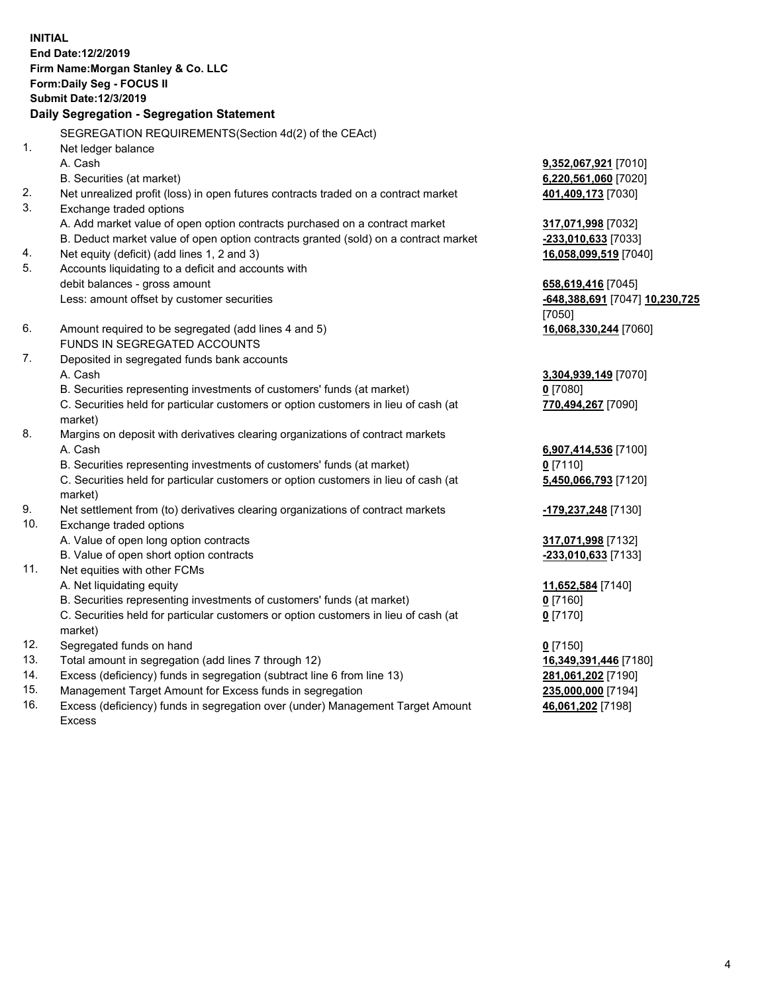**INITIAL End Date:12/2/2019 Firm Name:Morgan Stanley & Co. LLC Form:Daily Seg - FOCUS II Submit Date:12/3/2019 Daily Segregation - Segregation Statement** SEGREGATION REQUIREMENTS(Section 4d(2) of the CEAct) 1. Net ledger balance A. Cash **9,352,067,921** [7010] B. Securities (at market) **6,220,561,060** [7020] 2. Net unrealized profit (loss) in open futures contracts traded on a contract market **401,409,173** [7030] 3. Exchange traded options A. Add market value of open option contracts purchased on a contract market **317,071,998** [7032] B. Deduct market value of open option contracts granted (sold) on a contract market **-233,010,633** [7033] 4. Net equity (deficit) (add lines 1, 2 and 3) **16,058,099,519** [7040] 5. Accounts liquidating to a deficit and accounts with debit balances - gross amount **658,619,416** [7045] Less: amount offset by customer securities **-648,388,691** [7047] **10,230,725** [7050] 6. Amount required to be segregated (add lines 4 and 5) **16,068,330,244** [7060] FUNDS IN SEGREGATED ACCOUNTS 7. Deposited in segregated funds bank accounts A. Cash **3,304,939,149** [7070] B. Securities representing investments of customers' funds (at market) **0** [7080] C. Securities held for particular customers or option customers in lieu of cash (at market) **770,494,267** [7090] 8. Margins on deposit with derivatives clearing organizations of contract markets A. Cash **6,907,414,536** [7100] B. Securities representing investments of customers' funds (at market) **0** [7110] C. Securities held for particular customers or option customers in lieu of cash (at market) **5,450,066,793** [7120] 9. Net settlement from (to) derivatives clearing organizations of contract markets **-179,237,248** [7130] 10. Exchange traded options A. Value of open long option contracts **317,071,998** [7132] B. Value of open short option contracts **-233,010,633** [7133] 11. Net equities with other FCMs A. Net liquidating equity **11,652,584** [7140] B. Securities representing investments of customers' funds (at market) **0** [7160] C. Securities held for particular customers or option customers in lieu of cash (at market) **0** [7170] 12. Segregated funds on hand **0** [7150] 13. Total amount in segregation (add lines 7 through 12) **16,349,391,446** [7180] 14. Excess (deficiency) funds in segregation (subtract line 6 from line 13) **281,061,202** [7190] 15. Management Target Amount for Excess funds in segregation **235,000,000** [7194]

16. Excess (deficiency) funds in segregation over (under) Management Target Amount Excess

**46,061,202** [7198]